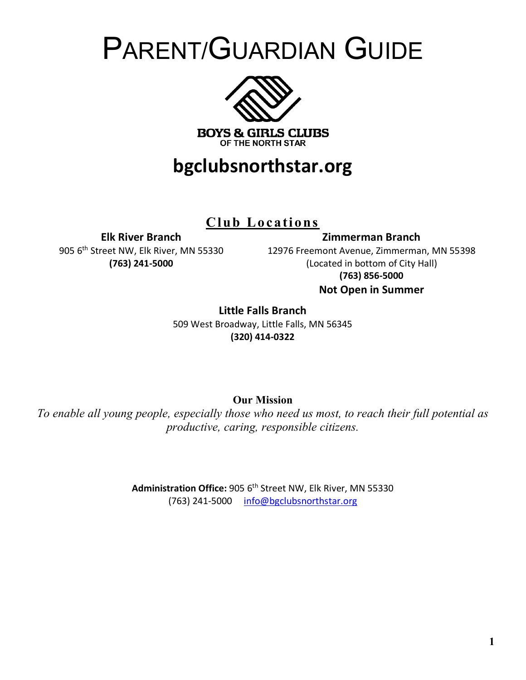# PARENT/GUARDIAN GUIDE



# **bgclubsnorthstar.org**

**Club Locations**

**Elk River Branch**

905 6<sup>th</sup> Street NW, Elk River, MN 55330 **(763) 241-5000**

12976 Freemont Avenue, Zimmerman, MN 55398 (Located in bottom of City Hall) **(763) 856-5000 Not Open in Summer**

**Zimmerman Branch**

**Little Falls Branch**

509 West Broadway, Little Falls, MN 56345 **(320) 414-0322**

**Our Mission**

*To enable all young people, especially those who need us most, to reach their full potential as productive, caring, responsible citizens.*

> Administration Office: 905 6<sup>th</sup> Street NW, Elk River, MN 55330 (763) 241-5000 info@bgclubsnorthstar.org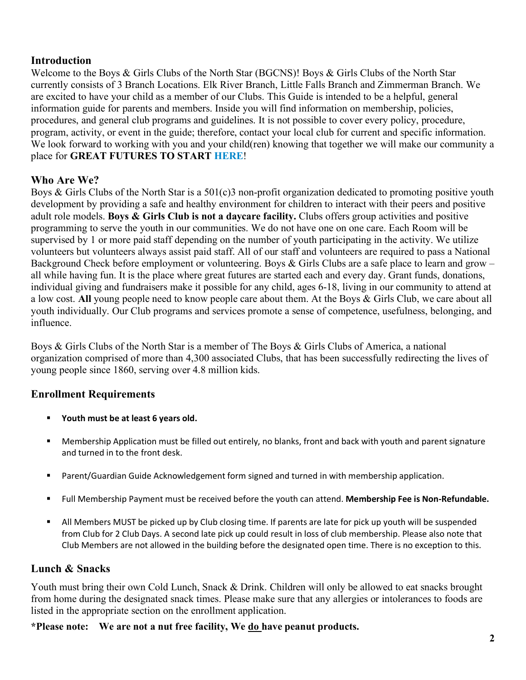## **Introduction**

Welcome to the Boys & Girls Clubs of the North Star (BGCNS)! Boys & Girls Clubs of the North Star currently consists of 3 Branch Locations. Elk River Branch, Little Falls Branch and Zimmerman Branch. We are excited to have your child as a member of our Clubs. This Guide is intended to be a helpful, general information guide for parents and members. Inside you will find information on membership, policies, procedures, and general club programs and guidelines. It is not possible to cover every policy, procedure, program, activity, or event in the guide; therefore, contact your local club for current and specific information. We look forward to working with you and your child(ren) knowing that together we will make our community a place for **GREAT FUTURES TO START HERE**!

# **Who Are We?**

Boys & Girls Clubs of the North Star is a  $501(c)3$  non-profit organization dedicated to promoting positive youth development by providing a safe and healthy environment for children to interact with their peers and positive adult role models. **Boys & Girls Club is not a daycare facility.** Clubs offers group activities and positive programming to serve the youth in our communities. We do not have one on one care. Each Room will be supervised by 1 or more paid staff depending on the number of youth participating in the activity. We utilize volunteers but volunteers always assist paid staff. All of our staff and volunteers are required to pass a National Background Check before employment or volunteering. Boys & Girls Clubs are a safe place to learn and grow – all while having fun. It is the place where great futures are started each and every day. Grant funds, donations, individual giving and fundraisers make it possible for any child, ages 6-18, living in our community to attend at a low cost. **All** young people need to know people care about them. At the Boys & Girls Club, we care about all youth individually. Our Club programs and services promote a sense of competence, usefulness, belonging, and influence.

Boys & Girls Clubs of the North Star is a member of The Boys & Girls Clubs of America, a national organization comprised of more than 4,300 associated Clubs, that has been successfully redirecting the lives of young people since 1860, serving over 4.8 million kids.

# **Enrollment Requirements**

- § **Youth must be at least 6 years old.**
- § Membership Application must be filled out entirely, no blanks, front and back with youth and parent signature and turned in to the front desk.
- Parent/Guardian Guide Acknowledgement form signed and turned in with membership application.
- § Full Membership Payment must be received before the youth can attend. **Membership Fee is Non-Refundable.**
- All Members MUST be picked up by Club closing time. If parents are late for pick up youth will be suspended from Club for 2 Club Days. A second late pick up could result in loss of club membership. Please also note that Club Members are not allowed in the building before the designated open time. There is no exception to this.

# **Lunch & Snacks**

Youth must bring their own Cold Lunch, Snack & Drink. Children will only be allowed to eat snacks brought from home during the designated snack times. Please make sure that any allergies or intolerances to foods are listed in the appropriate section on the enrollment application.

### **\*Please note: We are not a nut free facility, We do have peanut products.**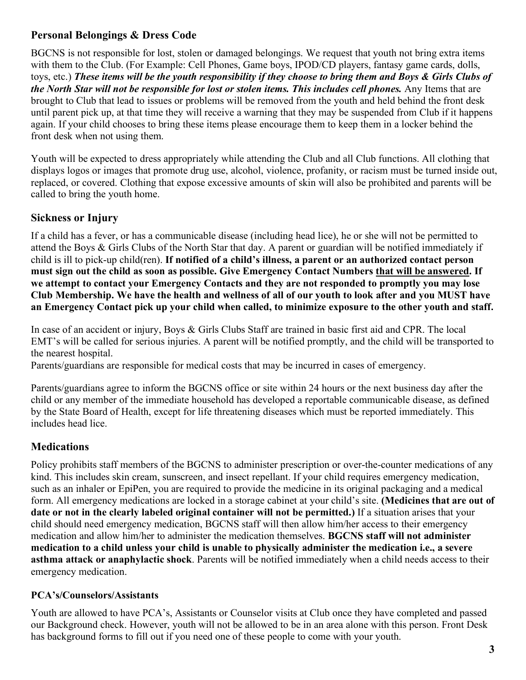# **Personal Belongings & Dress Code**

BGCNS is not responsible for lost, stolen or damaged belongings. We request that youth not bring extra items with them to the Club. (For Example: Cell Phones, Game boys, IPOD/CD players, fantasy game cards, dolls, toys, etc.) *These items will be the youth responsibility if they choose to bring them and Boys & Girls Clubs of the North Star will not be responsible for lost or stolen items. This includes cell phones.* Any Items that are brought to Club that lead to issues or problems will be removed from the youth and held behind the front desk until parent pick up, at that time they will receive a warning that they may be suspended from Club if it happens again. If your child chooses to bring these items please encourage them to keep them in a locker behind the front desk when not using them.

Youth will be expected to dress appropriately while attending the Club and all Club functions. All clothing that displays logos or images that promote drug use, alcohol, violence, profanity, or racism must be turned inside out, replaced, or covered. Clothing that expose excessive amounts of skin will also be prohibited and parents will be called to bring the youth home.

# **Sickness or Injury**

If a child has a fever, or has a communicable disease (including head lice), he or she will not be permitted to attend the Boys & Girls Clubs of the North Star that day. A parent or guardian will be notified immediately if child is ill to pick-up child(ren). **If notified of a child's illness, a parent or an authorized contact person must sign out the child as soon as possible. Give Emergency Contact Numbers that will be answered. If we attempt to contact your Emergency Contacts and they are not responded to promptly you may lose Club Membership. We have the health and wellness of all of our youth to look after and you MUST have an Emergency Contact pick up your child when called, to minimize exposure to the other youth and staff.** 

In case of an accident or injury, Boys & Girls Clubs Staff are trained in basic first aid and CPR. The local EMT's will be called for serious injuries. A parent will be notified promptly, and the child will be transported to the nearest hospital.

Parents/guardians are responsible for medical costs that may be incurred in cases of emergency.

Parents/guardians agree to inform the BGCNS office or site within 24 hours or the next business day after the child or any member of the immediate household has developed a reportable communicable disease, as defined by the State Board of Health, except for life threatening diseases which must be reported immediately. This includes head lice.

# **Medications**

Policy prohibits staff members of the BGCNS to administer prescription or over-the-counter medications of any kind. This includes skin cream, sunscreen, and insect repellant. If your child requires emergency medication, such as an inhaler or EpiPen, you are required to provide the medicine in its original packaging and a medical form. All emergency medications are locked in a storage cabinet at your child's site. **(Medicines that are out of date or not in the clearly labeled original container will not be permitted.)** If a situation arises that your child should need emergency medication, BGCNS staff will then allow him/her access to their emergency medication and allow him/her to administer the medication themselves. **BGCNS staff will not administer medication to a child unless your child is unable to physically administer the medication i.e., a severe asthma attack or anaphylactic shock**. Parents will be notified immediately when a child needs access to their emergency medication.

### **PCA's/Counselors/Assistants**

Youth are allowed to have PCA's, Assistants or Counselor visits at Club once they have completed and passed our Background check. However, youth will not be allowed to be in an area alone with this person. Front Desk has background forms to fill out if you need one of these people to come with your youth.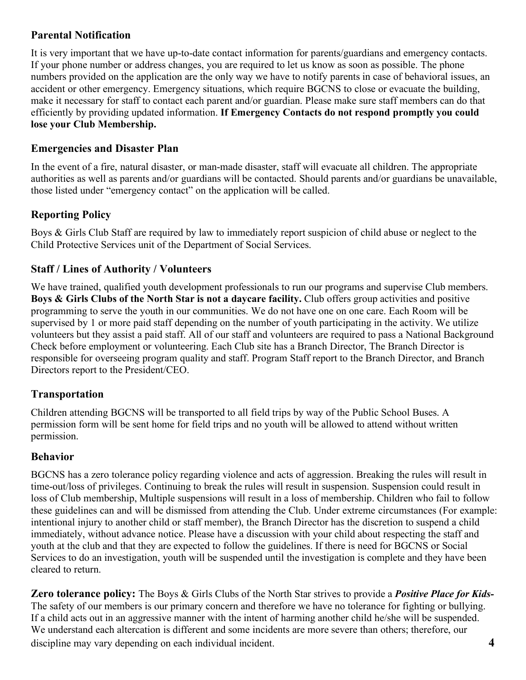# **Parental Notification**

It is very important that we have up-to-date contact information for parents/guardians and emergency contacts. If your phone number or address changes, you are required to let us know as soon as possible. The phone numbers provided on the application are the only way we have to notify parents in case of behavioral issues, an accident or other emergency. Emergency situations, which require BGCNS to close or evacuate the building, make it necessary for staff to contact each parent and/or guardian. Please make sure staff members can do that efficiently by providing updated information. **If Emergency Contacts do not respond promptly you could lose your Club Membership.**

## **Emergencies and Disaster Plan**

In the event of a fire, natural disaster, or man-made disaster, staff will evacuate all children. The appropriate authorities as well as parents and/or guardians will be contacted. Should parents and/or guardians be unavailable, those listed under "emergency contact" on the application will be called.

# **Reporting Policy**

Boys & Girls Club Staff are required by law to immediately report suspicion of child abuse or neglect to the Child Protective Services unit of the Department of Social Services.

# **Staff / Lines of Authority / Volunteers**

We have trained, qualified youth development professionals to run our programs and supervise Club members. **Boys & Girls Clubs of the North Star is not a daycare facility.** Club offers group activities and positive programming to serve the youth in our communities. We do not have one on one care. Each Room will be supervised by 1 or more paid staff depending on the number of youth participating in the activity. We utilize volunteers but they assist a paid staff. All of our staff and volunteers are required to pass a National Background Check before employment or volunteering. Each Club site has a Branch Director, The Branch Director is responsible for overseeing program quality and staff. Program Staff report to the Branch Director, and Branch Directors report to the President/CEO.

### **Transportation**

Children attending BGCNS will be transported to all field trips by way of the Public School Buses. A permission form will be sent home for field trips and no youth will be allowed to attend without written permission.

### **Behavior**

BGCNS has a zero tolerance policy regarding violence and acts of aggression. Breaking the rules will result in time-out/loss of privileges. Continuing to break the rules will result in suspension. Suspension could result in loss of Club membership, Multiple suspensions will result in a loss of membership. Children who fail to follow these guidelines can and will be dismissed from attending the Club. Under extreme circumstances (For example: intentional injury to another child or staff member), the Branch Director has the discretion to suspend a child immediately, without advance notice. Please have a discussion with your child about respecting the staff and youth at the club and that they are expected to follow the guidelines. If there is need for BGCNS or Social Services to do an investigation, youth will be suspended until the investigation is complete and they have been cleared to return.

**Zero tolerance policy:** The Boys & Girls Clubs of the North Star strives to provide a *Positive Place for Kids-*The safety of our members is our primary concern and therefore we have no tolerance for fighting or bullying. If a child acts out in an aggressive manner with the intent of harming another child he/she will be suspended. We understand each altercation is different and some incidents are more severe than others; therefore, our discipline may vary depending on each individual incident. **4**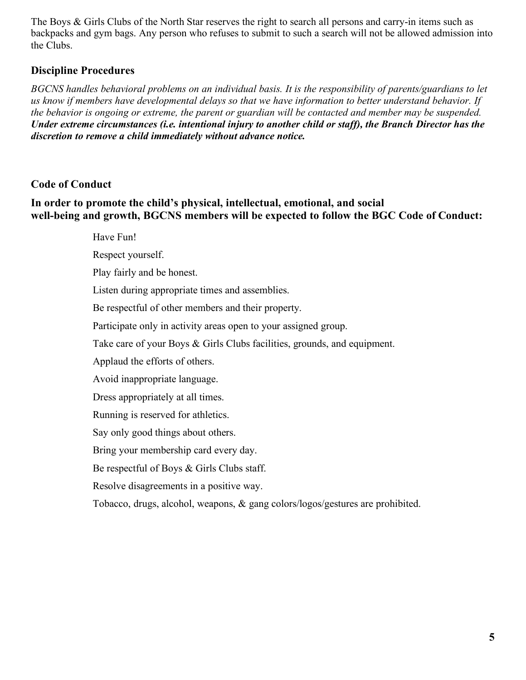The Boys & Girls Clubs of the North Star reserves the right to search all persons and carry-in items such as backpacks and gym bags. Any person who refuses to submit to such a search will not be allowed admission into the Clubs.

## **Discipline Procedures**

*BGCNS handles behavioral problems on an individual basis. It is the responsibility of parents/guardians to let us know if members have developmental delays so that we have information to better understand behavior. If the behavior is ongoing or extreme, the parent or guardian will be contacted and member may be suspended. Under extreme circumstances (i.e. intentional injury to another child or staff), the Branch Director has the discretion to remove a child immediately without advance notice.* 

# **Code of Conduct**

#### **In order to promote the child's physical, intellectual, emotional, and social well-being and growth, BGCNS members will be expected to follow the BGC Code of Conduct:**

Have Fun! Respect yourself.

Play fairly and be honest.

Listen during appropriate times and assemblies.

Be respectful of other members and their property.

Participate only in activity areas open to your assigned group.

Take care of your Boys & Girls Clubs facilities, grounds, and equipment.

Applaud the efforts of others.

Avoid inappropriate language.

Dress appropriately at all times.

Running is reserved for athletics.

Say only good things about others.

Bring your membership card every day.

Be respectful of Boys & Girls Clubs staff.

Resolve disagreements in a positive way.

Tobacco, drugs, alcohol, weapons, & gang colors/logos/gestures are prohibited.